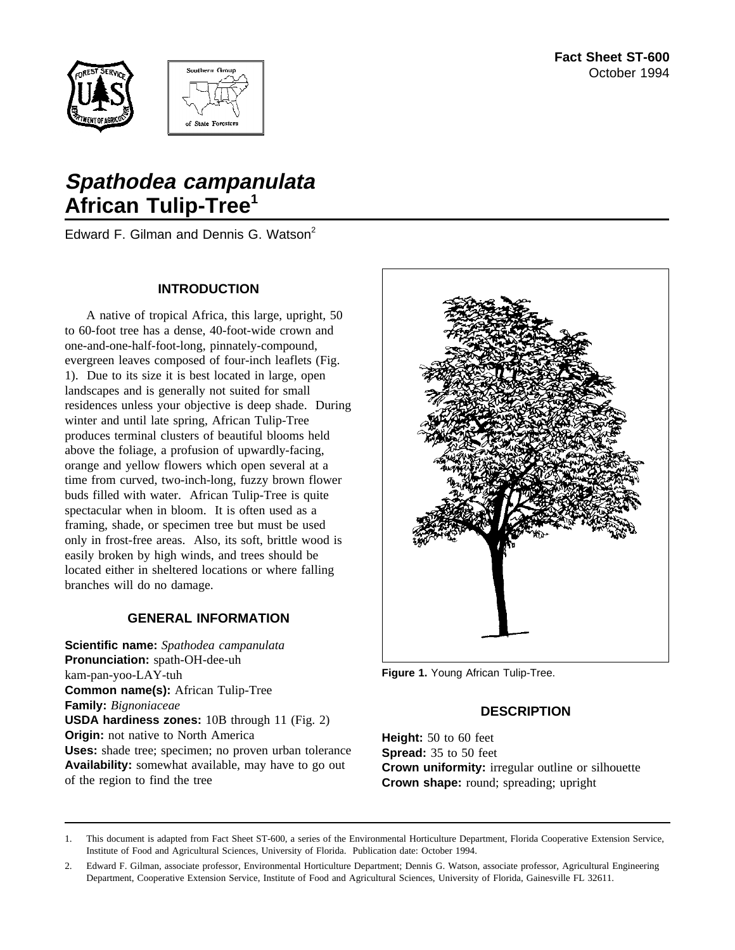



# **Spathodea campanulata African Tulip-Tree<sup>1</sup>**

Edward F. Gilman and Dennis G. Watson<sup>2</sup>

#### **INTRODUCTION**

A native of tropical Africa, this large, upright, 50 to 60-foot tree has a dense, 40-foot-wide crown and one-and-one-half-foot-long, pinnately-compound, evergreen leaves composed of four-inch leaflets (Fig. 1). Due to its size it is best located in large, open landscapes and is generally not suited for small residences unless your objective is deep shade. During winter and until late spring, African Tulip-Tree produces terminal clusters of beautiful blooms held above the foliage, a profusion of upwardly-facing, orange and yellow flowers which open several at a time from curved, two-inch-long, fuzzy brown flower buds filled with water. African Tulip-Tree is quite spectacular when in bloom. It is often used as a framing, shade, or specimen tree but must be used only in frost-free areas. Also, its soft, brittle wood is easily broken by high winds, and trees should be located either in sheltered locations or where falling branches will do no damage.

#### **GENERAL INFORMATION**

**Scientific name:** *Spathodea campanulata* **Pronunciation:** spath-OH-dee-uh kam-pan-yoo-LAY-tuh **Common name(s):** African Tulip-Tree **Family:** *Bignoniaceae* **USDA hardiness zones:** 10B through 11 (Fig. 2) **Origin:** not native to North America **Uses:** shade tree; specimen; no proven urban tolerance **Availability:** somewhat available, may have to go out of the region to find the tree



**Figure 1.** Young African Tulip-Tree.

#### **DESCRIPTION**

**Height:** 50 to 60 feet **Spread:** 35 to 50 feet **Crown uniformity:** irregular outline or silhouette **Crown shape:** round; spreading; upright

<sup>1.</sup> This document is adapted from Fact Sheet ST-600, a series of the Environmental Horticulture Department, Florida Cooperative Extension Service, Institute of Food and Agricultural Sciences, University of Florida. Publication date: October 1994.

<sup>2.</sup> Edward F. Gilman, associate professor, Environmental Horticulture Department; Dennis G. Watson, associate professor, Agricultural Engineering Department, Cooperative Extension Service, Institute of Food and Agricultural Sciences, University of Florida, Gainesville FL 32611.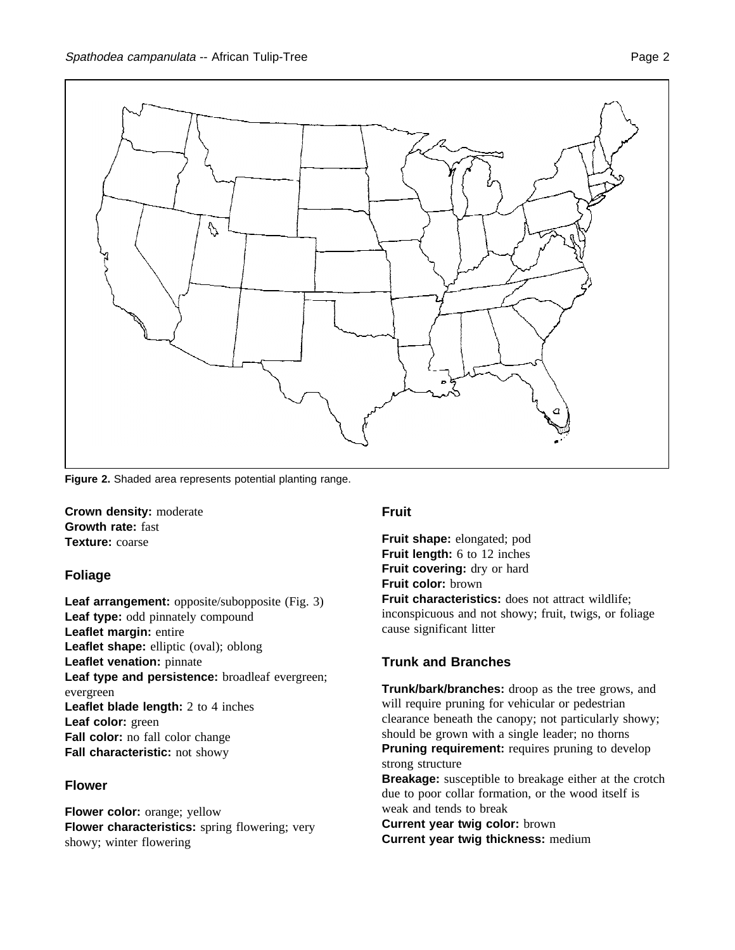

**Figure 2.** Shaded area represents potential planting range.

**Crown density:** moderate **Growth rate:** fast **Texture:** coarse

#### **Foliage**

**Leaf arrangement:** opposite/subopposite (Fig. 3) **Leaf type:** odd pinnately compound **Leaflet margin:** entire **Leaflet shape:** elliptic (oval); oblong **Leaflet venation:** pinnate Leaf type and persistence: broadleaf evergreen; evergreen **Leaflet blade length:** 2 to 4 inches **Leaf color:** green **Fall color:** no fall color change **Fall characteristic:** not showy

#### **Flower**

**Flower color:** orange; yellow **Flower characteristics:** spring flowering; very showy; winter flowering

#### **Fruit**

**Fruit shape:** elongated; pod **Fruit length:** 6 to 12 inches **Fruit covering:** dry or hard **Fruit color:** brown **Fruit characteristics:** does not attract wildlife; inconspicuous and not showy; fruit, twigs, or foliage cause significant litter

#### **Trunk and Branches**

**Trunk/bark/branches:** droop as the tree grows, and will require pruning for vehicular or pedestrian clearance beneath the canopy; not particularly showy; should be grown with a single leader; no thorns **Pruning requirement:** requires pruning to develop strong structure

**Breakage:** susceptible to breakage either at the crotch due to poor collar formation, or the wood itself is weak and tends to break

**Current year twig color:** brown **Current year twig thickness:** medium